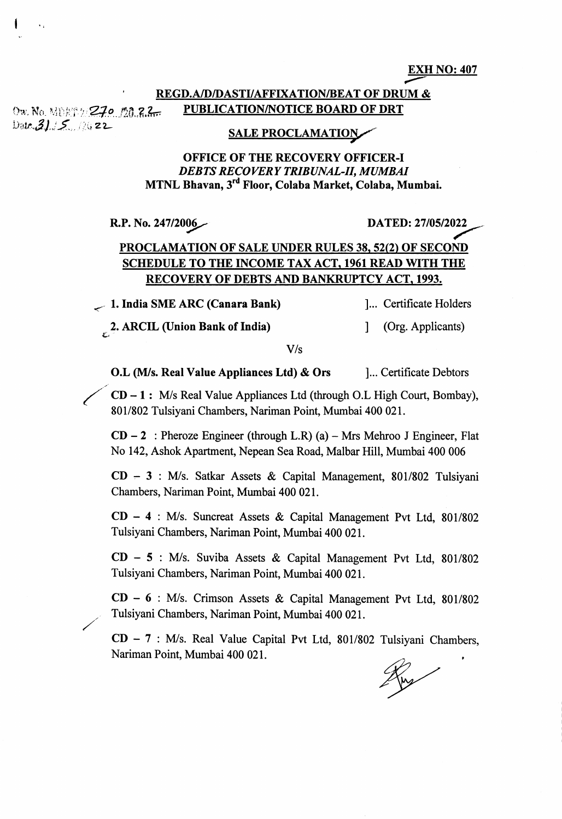EXH NO: 407

## REGD.A/D/DASTI/AFFIXATION/BEAT OF DRUM & Ow. No. MEET THE TALL TIME PUBLICATION/NOTICE BOARD OF DRT

 $Data.31.5.72$ 

I

## **SALE PROCLAMATION**

## **OFFICE OF THE RECOVERY OFFICER-I** DEBTS RECOVERY TRIBUNAL-II, MUMBAI MTNL Bhavan, 3<sup>rd</sup> Floor, Colaba Market, Colaba, Mumbai.

R.P. No. 247/2006 DATED: 27/05/2022

## PROCLAMATION OF SALE UNDER RULES 38, 52(2) OF SECOND **SCHEDULE TO THE INCOME TAX ACT, 1961 READ WITH THE** RECOVERY OF DEBTS AND BANKRUPTCY ACT, 1993.

1. India SME ARC (Canara Bank) [... Certificate Holders

2. ARCIL (Union Bank of India)  $\qquad$  [Org. Applicants)

V/s

**O.L** (M/s. Real Value Appliances Ltd)  $\&$  Ors 1... Certificate Debtors

CD - 1 : IWs Real Value Appliances Ltd (through O.L High Court, Bombay), 801/802 Tulsiyani Chambers, Nariman Point, Mumbai 400 021.

 $CD - 2$ : Pheroze Engineer (through L.R) (a) – Mrs Mehroo J Engineer, Flat No 142, Ashok Aparfrnent, Nepean Sea Road, Malbar Hill, Mumbai 400 006

CD - 3 : IWs. Satkar Assets & Capital Management, 801/802 Tulsiyani Chambers, Nariman Point, Mumbai 400 021.

 $CD - 4$  : M/s. Suncreat Assets & Capital Management Pvt Ltd, 801/802 Tulsiyani Chambers, Nariman Point, Mumbai 400 021.

 $CD - 5$ : M/s. Suviba Assets & Capital Management Pvt Ltd, 801/802 Tulsiyani Chambers, Nariman Point, Mumbai 400 021.

 $CD - 6$  : M/s. Crimson Assets & Capital Management Pvt Ltd, 801/802 , Tulsiyani Chambers, Nariman Point, Mumbai 400 021.

 $CD - 7$ : M/s. Real Value Capital Pvt Ltd, 801/802 Tulsiyani Chambers, Nariman Point, Mumbai 400 021.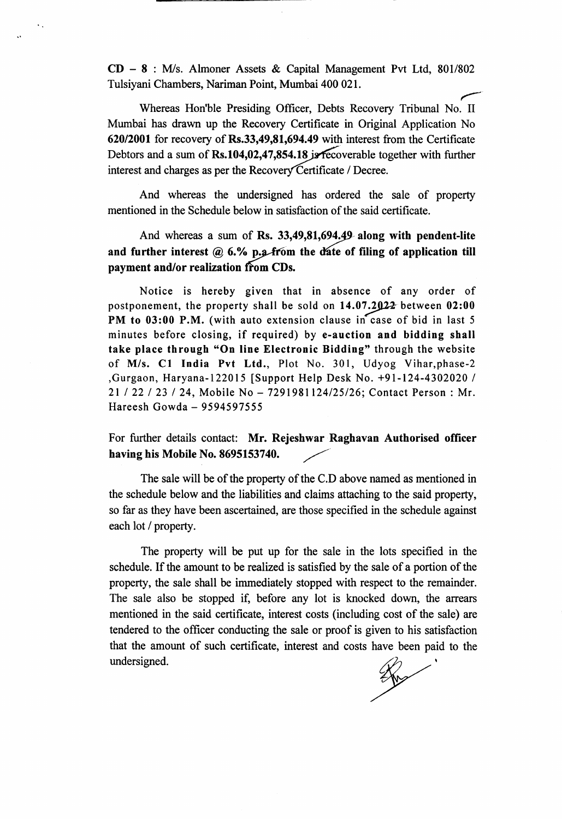$CD - 8$ : M/s. Almoner Assets & Capital Management Pvt Ltd, 801/802 Tulsiyani Chambers, Nariman Point, Mumbai 400 021 .

 $\ddot{\phantom{a}}$ 

Whereas Hon'ble Presiding Officer, Debts Recovery Tribunal No. II Mumbai has drawn up the Recovery Certificate in Original Application No 620/2001 for recovery of  $Rs.33,49,81,694.49$  with interest from the Certificate Debtors and a sum of Rs.104,02,47,854.18 js recoverable together with further interest and charges as per the Recovery Certificate / Decree.

And whereas the undersigned has ordered the sale of property mentioned in the Schedule below in satisfaction of the said certificate.

And whereas a sum of Rs. 33,49,81,694.49 along with pendent-lite and further interest  $@6.$ % p.g. from the date of filing of application till payment and/or realization ffon CDs.

Notice is hereby given that in absence of any order of postponement, the property shall be sold on  $14.07.2922$  between  $02:00$ PM to 03:00 P.M. (with auto extension clause in case of bid in last 5 minutes before closing, if required) by e-auction and bidding shall take place through "On line Electronic Bidding" through the website of M/s. C1 India Pvt Ltd., Plot No. 301, Udyog Vihar, phase-2 ,Gurgaon, Haryana-122015 [Support Help Desk No, +91-124-4302020 I 21 122 123 124, Mobile No -7291981124125126; Contact Person: Mr. Hareesh Gowda - <sup>9594597555</sup>

For further details contact: Mr. Rejeshwar Raghavan Authorised officer having his Mobile No. 8695153740.

The sale will be of the property of the C.D above named as mentioned in the schedule below and the liabilities and claims attaching to the said property, so far as they have been ascertained, are those specified in the schedule against each lot / property.

The property will be put up for the sale in the lots specified in the schedule. If the amount to be realized is satisfied by the sale of a portion of the property, the sale shall be immediately stopped with respect to the remainder. The sale also be stopped if, before any lot is knocked down, the arrears mentioned in the said certificate, interest costs (including cost of the sale) are tendered to the officer conducting the sale or proof is given to his satisfaction that the amount of such certificate, interest and costs have been paid to the undersigned.

Ros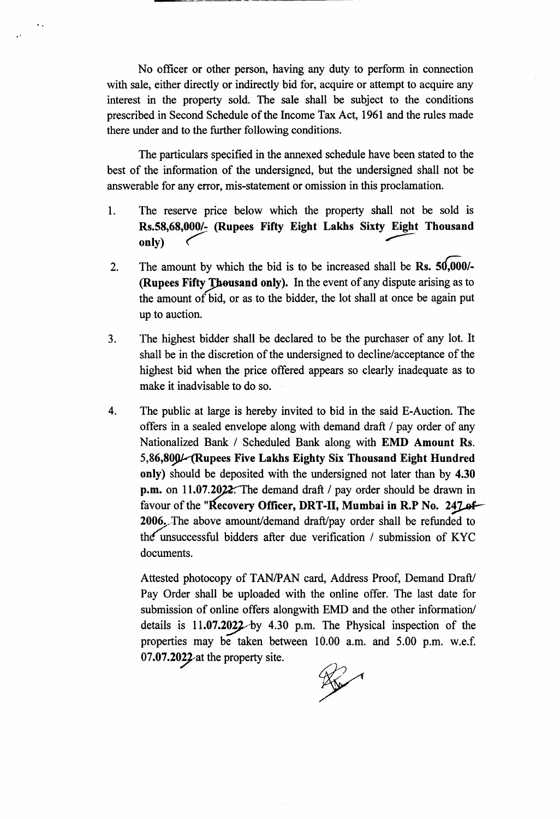No officer or other person, having any duty to perform in connection with sale, either directly or indirectly bid for, acquire or attempt to acquire any interest in the property sold. The sale shall be subject to the conditions prescribed in Second Schedule of the lncome Tax Act, 1961 and the rules made there under and to the further following conditions.

The particulars specified in the annexed schedule have been stated to the best of the information of the undersigned, but the undersigned shall not be answerable for any error, mis-statement or omission in this proclamation.

- I The reserve price below which the property shall not be sold is Rs.58,68,000/- (Rupees Fifty Eight Lakhs Sixty Eight Thousand only)  $\overline{\phantom{a}}$  ( $\overline{\phantom{a}}$  ( $\overline{\phantom{a}}$  )  $\overline{\phantom{a}}$  )  $\overline{\phantom{a}}$  ( $\overline{\phantom{a}}$  )  $\overline{\phantom{a}}$  )  $\overline{\phantom{a}}$  )  $\overline{\phantom{a}}$  )  $\overline{\phantom{a}}$  )  $\overline{\phantom{a}}$  )  $\overline{\phantom{a}}$  )  $\overline{\phantom{a}}$  )  $\overline{\phantom{a}}$  )  $\overline{\phantom{a}}$  )  $\overline{\phantom{$
- The amount by which the bid is to be increased shall be Rs.  $50,000/$ -(Rupees Fifty Thousand only). In the event of any dispute arising as to the amount of bid, or as to the bidder, the lot shall at once be again put up to auction. 2.
- The highest bidder shall be declared to be the purchaser of any lot. It shall be in the discretion of the undersigred to decline/acceptance of the highest bid when the price offered appears so clearly inadequate as to make it inadvisable to do so.  $3<sub>1</sub>$
- The public at large is hereby invited to bid in the said E-Auction. The offers in a sealed envelope along with demand draft / pay order of any Nationalized Bank / Scheduled Bank along with EMD Amount Rs. 5,86,800 L(Rupees Five Lakhs Eighty Six Thousand Eight Hundred only) should be deposited with the undersigned not later than by 4.30 p.m. on 11.07.2022. The demand draft  $/$  pay order should be drawn in favour of the "Recovery Officer, DRT-II, Mumbai in R.P No. 247 of 2006. The above amount/demand draft/pay order shall be refunded to the unsuccessful bidders after due verification  $/$  submission of KYC documents. 4

Attested photocopy of TAN/PAN card, Address Proof, Demand Drafl/ Pay Order shall be uploaded with the online offer. The last date for submission of online offers alongwith EMD and the other informatior/ details is  $11.07.2022$  by 4.30 p.m. The Physical inspection of the properties may be taken between 10.00 a.m. and 5.00 p.m. w.e.f. 07.07.2022 at the property site.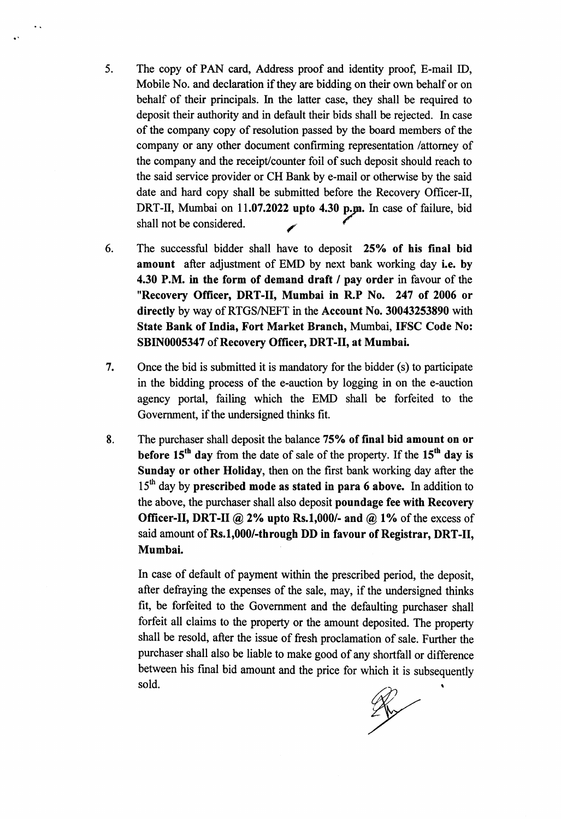- 5. The copy of PAN card, Address proof and identity proof, E-mail ID, Mobile No. and declaration if they are bidding on their own behalf or on behalf of their principals. In the latter case, they shall be required to deposit their authority and in default their bids shall be rejected. In case of the company copy of resolution passed by the board members of the company or any other document confirming representation /attomey of the company and the receipt/counter foil of such deposit should reach to the said service provider or CH Bank by e-mail or otherwise by the said date and hard copy shall be submitted before the Recovery Officer-II, DRT-II, Mumbai on 11.07.2022 upto 4.30 p.m. In case of failure, bid shall not be considered.
- The successful bidder shall have to deposit 25% of his final bid amount after adjustment of EMD by next bank working day i.e. by 4.30 P.M. in the form of demand draft / pay order in favour of the "Recovery Officer, DRT-II, Mumbai in R.P No. 247 of 2006 or directly by way of RTGSNEFT in the Account No. 30043253890 with State Bank of India, Fort Market Branch, Mumbai, IFSC Code No: SBIN0005347 of Recovery Officer, DRT-II, at Mumbai. 6
- Once the bid is submitted it is mandatory for the bidder (s) to participate in the bidding process of the e-auction by logging in on the e-auction agency portal, failing which the EMD shall be forfeited to the Government, if the undersigned thinks fit. 7
- The purchaser shall deposit the balance 75% of final bid amount on or before  $15<sup>th</sup>$  day from the date of sale of the property. If the  $15<sup>th</sup>$  day is Sunday or other Holiday, then on the first bank working day after the  $15<sup>th</sup>$  day by prescribed mode as stated in para 6 above. In addition to the above, the purchaser shall also deposit poundage fee with Recovery Officer-II, DRT-II @ 2% upto Rs.1,000/- and @ 1% of the excess of said amount of Rs.1,000/-through DD in favour of Registrar, DRT-II, Mumbai. 8

ln case of default of payment within the prescribed period, the deposit, after defraying the expenses of the sale, may, if the undersigned thinks fit, be forfeited to the Govemment and the defaulting purchaser shall forfeit all claims to the property or the amount deposited. The property shall be resold, after the issue of fresh proclamation of sale. Further the purchaser shall also be liable to make good of any shortfall or difference between his final bid amount and the price for which it is subsequently sold.